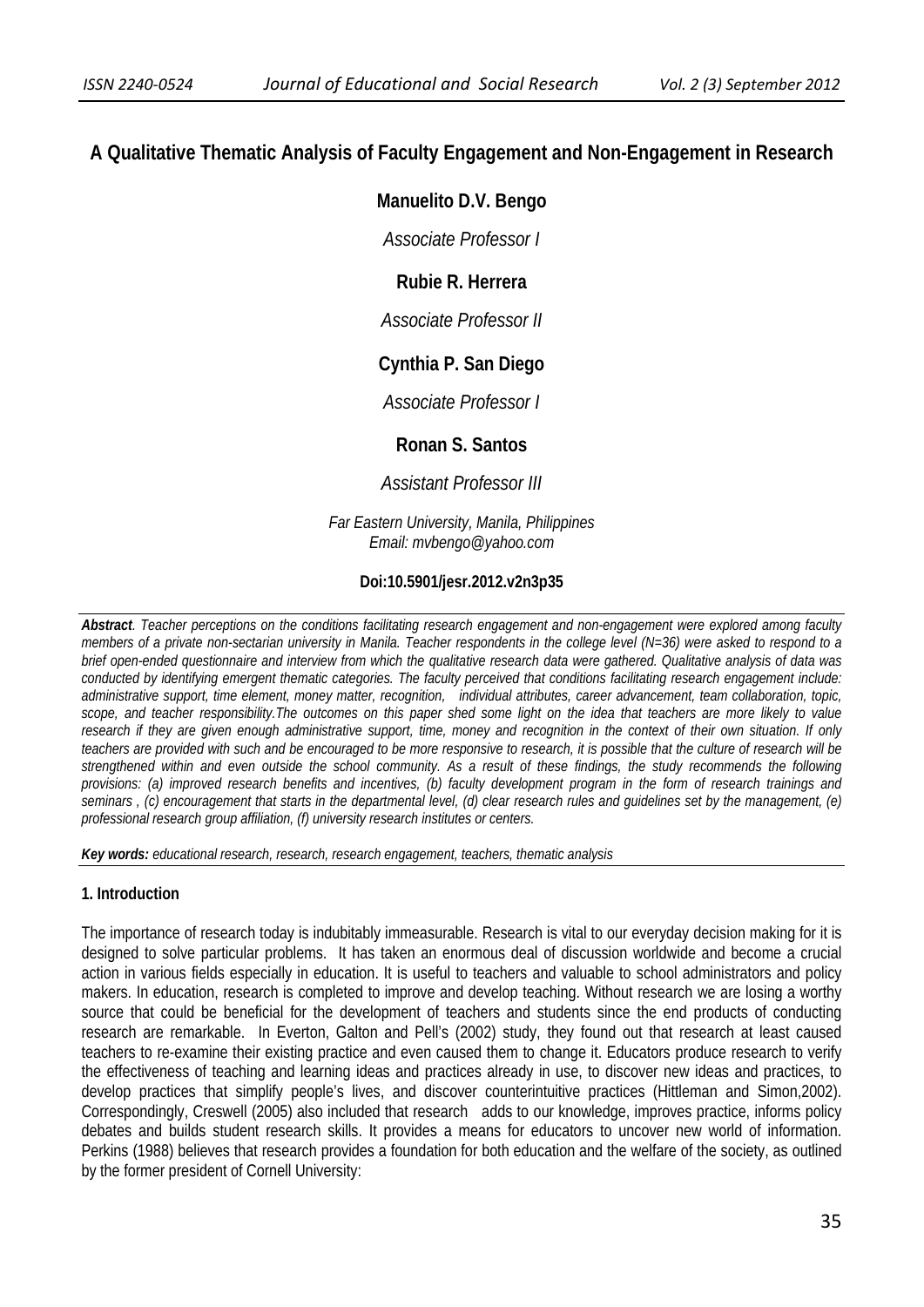## **A Qualitative Thematic Analysis of Faculty Engagement and Non-Engagement in Research**

## **Manuelito D.V. Bengo**

*Associate Professor I* 

# **Rubie R. Herrera**

*Associate Professor II* 

# **Cynthia P. San Diego**

*Associate Professor I* 

## **Ronan S. Santos**

*Assistant Professor III*

*Far Eastern University, Manila, Philippines Email: mvbengo@yahoo.com* 

### **Doi:10.5901/jesr.2012.v2n3p35**

*Abstract. Teacher perceptions on the conditions facilitating research engagement and non-engagement were explored among faculty members of a private non-sectarian university in Manila. Teacher respondents in the college level (N=36) were asked to respond to a brief open-ended questionnaire and interview from which the qualitative research data were gathered. Qualitative analysis of data was conducted by identifying emergent thematic categories. The faculty perceived that conditions facilitating research engagement include: administrative support, time element, money matter, recognition, individual attributes, career advancement, team collaboration, topic, scope, and teacher responsibility.The outcomes on this paper shed some light on the idea that teachers are more likely to value research if they are given enough administrative support, time, money and recognition in the context of their own situation. If only teachers are provided with such and be encouraged to be more responsive to research, it is possible that the culture of research will be strengthened within and even outside the school community. As a result of these findings, the study recommends the following provisions: (a) improved research benefits and incentives, (b) faculty development program in the form of research trainings and seminars , (c) encouragement that starts in the departmental level, (d) clear research rules and guidelines set by the management, (e) professional research group affiliation, (f) university research institutes or centers.* 

*Key words: educational research, research, research engagement, teachers, thematic analysis*

### **1. Introduction**

The importance of research today is indubitably immeasurable. Research is vital to our everyday decision making for it is designed to solve particular problems. It has taken an enormous deal of discussion worldwide and become a crucial action in various fields especially in education. It is useful to teachers and valuable to school administrators and policy makers. In education, research is completed to improve and develop teaching. Without research we are losing a worthy source that could be beneficial for the development of teachers and students since the end products of conducting research are remarkable. In Everton, Galton and Pell's (2002) study, they found out that research at least caused teachers to re-examine their existing practice and even caused them to change it. Educators produce research to verify the effectiveness of teaching and learning ideas and practices already in use, to discover new ideas and practices, to develop practices that simplify people's lives, and discover counterintuitive practices (Hittleman and Simon,2002). Correspondingly, Creswell (2005) also included that research adds to our knowledge, improves practice, informs policy debates and builds student research skills. It provides a means for educators to uncover new world of information. Perkins (1988) believes that research provides a foundation for both education and the welfare of the society, as outlined by the former president of Cornell University: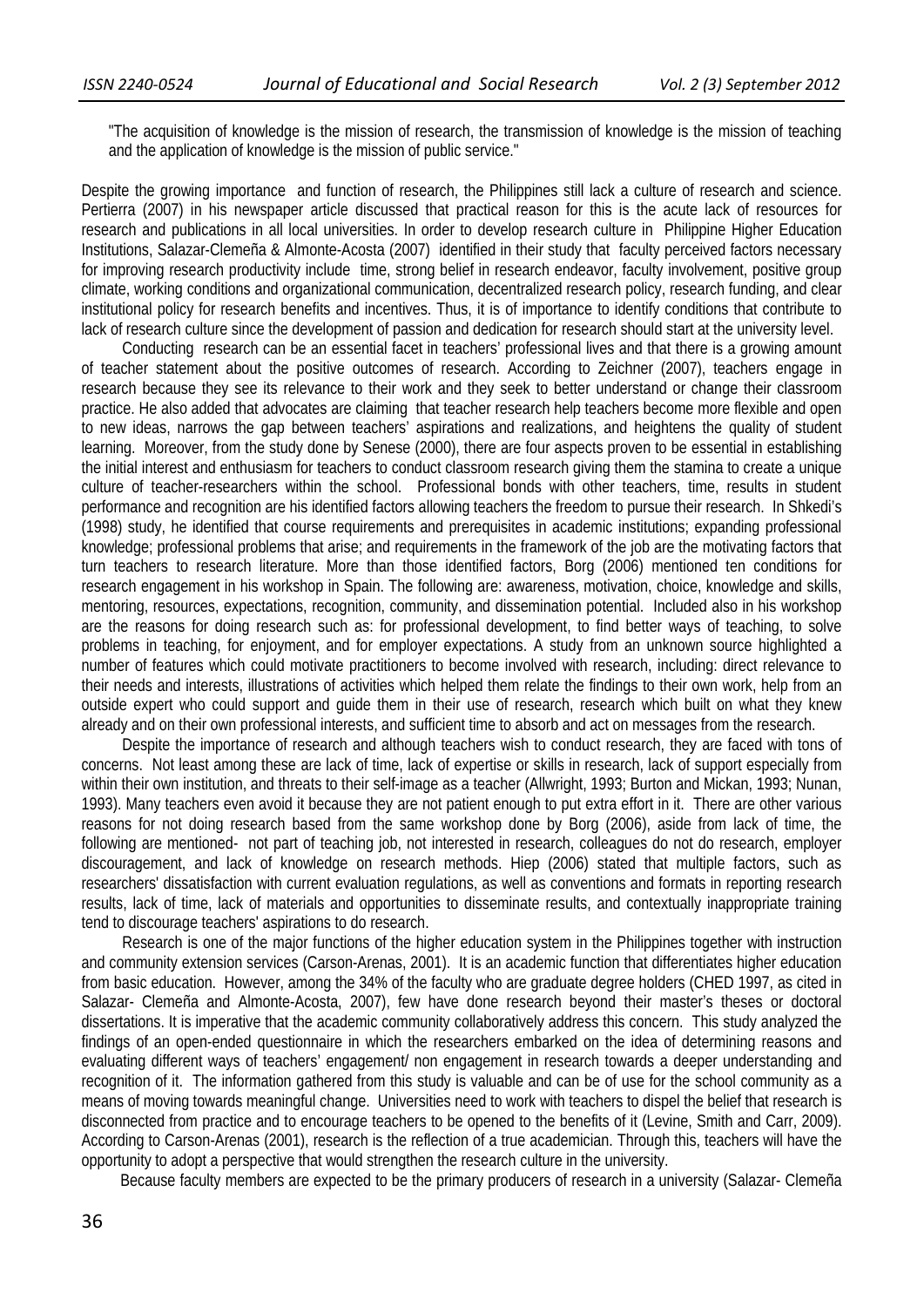"The acquisition of knowledge is the mission of research, the transmission of knowledge is the mission of teaching and the application of knowledge is the mission of public service."

Despite the growing importance and function of research, the Philippines still lack a culture of research and science. Pertierra (2007) in his newspaper article discussed that practical reason for this is the acute lack of resources for research and publications in all local universities. In order to develop research culture in Philippine Higher Education Institutions, Salazar-Clemeña & Almonte-Acosta (2007) identified in their study that faculty perceived factors necessary for improving research productivity include time, strong belief in research endeavor, faculty involvement, positive group climate, working conditions and organizational communication, decentralized research policy, research funding, and clear institutional policy for research benefits and incentives. Thus, it is of importance to identify conditions that contribute to lack of research culture since the development of passion and dedication for research should start at the university level.

Conducting research can be an essential facet in teachers' professional lives and that there is a growing amount of teacher statement about the positive outcomes of research. According to Zeichner (2007), teachers engage in research because they see its relevance to their work and they seek to better understand or change their classroom practice. He also added that advocates are claiming that teacher research help teachers become more flexible and open to new ideas, narrows the gap between teachers' aspirations and realizations, and heightens the quality of student learning. Moreover, from the study done by Senese (2000), there are four aspects proven to be essential in establishing the initial interest and enthusiasm for teachers to conduct classroom research giving them the stamina to create a unique culture of teacher-researchers within the school. Professional bonds with other teachers, time, results in student performance and recognition are his identified factors allowing teachers the freedom to pursue their research. In Shkedi's (1998) study, he identified that course requirements and prerequisites in academic institutions; expanding professional knowledge; professional problems that arise; and requirements in the framework of the job are the motivating factors that turn teachers to research literature. More than those identified factors, Borg (2006) mentioned ten conditions for research engagement in his workshop in Spain. The following are: awareness, motivation, choice, knowledge and skills, mentoring, resources, expectations, recognition, community, and dissemination potential. Included also in his workshop are the reasons for doing research such as: for professional development, to find better ways of teaching, to solve problems in teaching, for enjoyment, and for employer expectations. A study from an unknown source highlighted a number of features which could motivate practitioners to become involved with research, including: direct relevance to their needs and interests, illustrations of activities which helped them relate the findings to their own work, help from an outside expert who could support and guide them in their use of research, research which built on what they knew already and on their own professional interests, and sufficient time to absorb and act on messages from the research.

Despite the importance of research and although teachers wish to conduct research, they are faced with tons of concerns. Not least among these are lack of time, lack of expertise or skills in research, lack of support especially from within their own institution, and threats to their self-image as a teacher (Allwright, 1993; Burton and Mickan, 1993; Nunan, 1993). Many teachers even avoid it because they are not patient enough to put extra effort in it. There are other various reasons for not doing research based from the same workshop done by Borg (2006), aside from lack of time, the following are mentioned- not part of teaching job, not interested in research, colleagues do not do research, employer discouragement, and lack of knowledge on research methods. Hiep (2006) stated that multiple factors, such as researchers' dissatisfaction with current evaluation regulations, as well as conventions and formats in reporting research results, lack of time, lack of materials and opportunities to disseminate results, and contextually inappropriate training tend to discourage teachers' aspirations to do research.

Research is one of the major functions of the higher education system in the Philippines together with instruction and community extension services (Carson-Arenas, 2001). It is an academic function that differentiates higher education from basic education. However, among the 34% of the faculty who are graduate degree holders (CHED 1997, as cited in Salazar- Clemeña and Almonte-Acosta, 2007), few have done research beyond their master's theses or doctoral dissertations. It is imperative that the academic community collaboratively address this concern. This study analyzed the findings of an open-ended questionnaire in which the researchers embarked on the idea of determining reasons and evaluating different ways of teachers' engagement/ non engagement in research towards a deeper understanding and recognition of it. The information gathered from this study is valuable and can be of use for the school community as a means of moving towards meaningful change. Universities need to work with teachers to dispel the belief that research is disconnected from practice and to encourage teachers to be opened to the benefits of it (Levine, Smith and Carr, 2009). According to Carson-Arenas (2001), research is the reflection of a true academician. Through this, teachers will have the opportunity to adopt a perspective that would strengthen the research culture in the university.

Because faculty members are expected to be the primary producers of research in a university (Salazar- Clemeña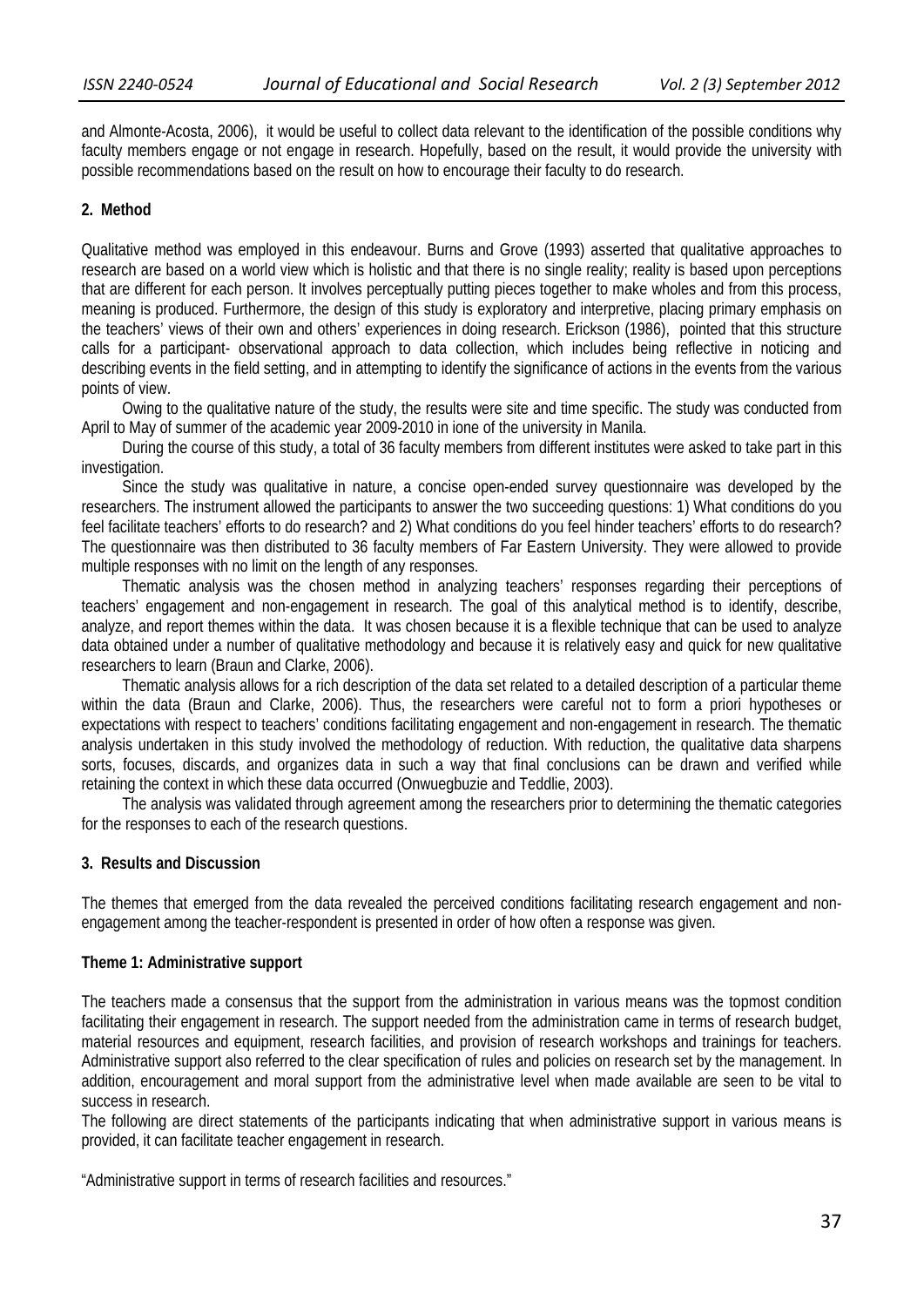and Almonte-Acosta, 2006), it would be useful to collect data relevant to the identification of the possible conditions why faculty members engage or not engage in research. Hopefully, based on the result, it would provide the university with possible recommendations based on the result on how to encourage their faculty to do research.

### **2. Method**

Qualitative method was employed in this endeavour. Burns and Grove (1993) asserted that qualitative approaches to research are based on a world view which is holistic and that there is no single reality; reality is based upon perceptions that are different for each person. It involves perceptually putting pieces together to make wholes and from this process, meaning is produced. Furthermore, the design of this study is exploratory and interpretive, placing primary emphasis on the teachers' views of their own and others' experiences in doing research. Erickson (1986), pointed that this structure calls for a participant- observational approach to data collection, which includes being reflective in noticing and describing events in the field setting, and in attempting to identify the significance of actions in the events from the various points of view.

Owing to the qualitative nature of the study, the results were site and time specific. The study was conducted from April to May of summer of the academic year 2009-2010 in ione of the university in Manila.

During the course of this study, a total of 36 faculty members from different institutes were asked to take part in this investigation.

Since the study was qualitative in nature, a concise open-ended survey questionnaire was developed by the researchers. The instrument allowed the participants to answer the two succeeding questions: 1) What conditions do you feel facilitate teachers' efforts to do research? and 2) What conditions do you feel hinder teachers' efforts to do research? The questionnaire was then distributed to 36 faculty members of Far Eastern University. They were allowed to provide multiple responses with no limit on the length of any responses.

Thematic analysis was the chosen method in analyzing teachers' responses regarding their perceptions of teachers' engagement and non-engagement in research. The goal of this analytical method is to identify, describe, analyze, and report themes within the data. It was chosen because it is a flexible technique that can be used to analyze data obtained under a number of qualitative methodology and because it is relatively easy and quick for new qualitative researchers to learn (Braun and Clarke, 2006).

Thematic analysis allows for a rich description of the data set related to a detailed description of a particular theme within the data (Braun and Clarke, 2006). Thus, the researchers were careful not to form a priori hypotheses or expectations with respect to teachers' conditions facilitating engagement and non-engagement in research. The thematic analysis undertaken in this study involved the methodology of reduction. With reduction, the qualitative data sharpens sorts, focuses, discards, and organizes data in such a way that final conclusions can be drawn and verified while retaining the context in which these data occurred (Onwuegbuzie and Teddlie, 2003).

The analysis was validated through agreement among the researchers prior to determining the thematic categories for the responses to each of the research questions.

### **3. Results and Discussion**

The themes that emerged from the data revealed the perceived conditions facilitating research engagement and nonengagement among the teacher-respondent is presented in order of how often a response was given.

### **Theme 1: Administrative support**

The teachers made a consensus that the support from the administration in various means was the topmost condition facilitating their engagement in research. The support needed from the administration came in terms of research budget, material resources and equipment, research facilities, and provision of research workshops and trainings for teachers. Administrative support also referred to the clear specification of rules and policies on research set by the management. In addition, encouragement and moral support from the administrative level when made available are seen to be vital to success in research.

The following are direct statements of the participants indicating that when administrative support in various means is provided, it can facilitate teacher engagement in research.

"Administrative support in terms of research facilities and resources."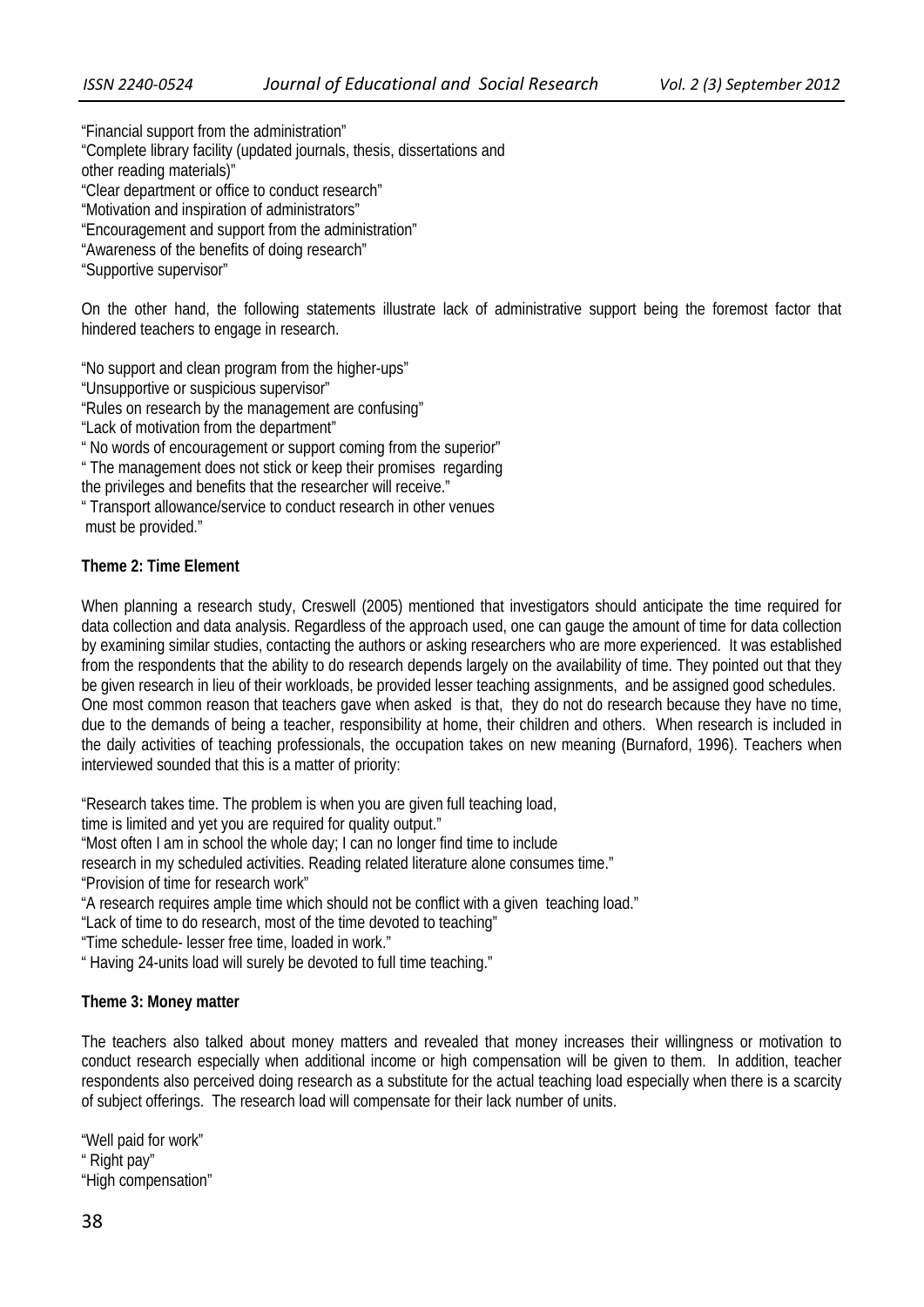"Financial support from the administration"

"Complete library facility (updated journals, thesis, dissertations and

other reading materials)"

"Clear department or office to conduct research"

"Motivation and inspiration of administrators"

"Encouragement and support from the administration"

"Awareness of the benefits of doing research"

"Supportive supervisor"

On the other hand, the following statements illustrate lack of administrative support being the foremost factor that hindered teachers to engage in research.

"No support and clean program from the higher-ups"

"Unsupportive or suspicious supervisor"

"Rules on research by the management are confusing"

"Lack of motivation from the department"

" No words of encouragement or support coming from the superior"

" The management does not stick or keep their promises regarding

the privileges and benefits that the researcher will receive."

" Transport allowance/service to conduct research in other venues must be provided."

## **Theme 2: Time Element**

When planning a research study, Creswell (2005) mentioned that investigators should anticipate the time required for data collection and data analysis. Regardless of the approach used, one can gauge the amount of time for data collection by examining similar studies, contacting the authors or asking researchers who are more experienced. It was established from the respondents that the ability to do research depends largely on the availability of time. They pointed out that they be given research in lieu of their workloads, be provided lesser teaching assignments, and be assigned good schedules. One most common reason that teachers gave when asked is that, they do not do research because they have no time, due to the demands of being a teacher, responsibility at home, their children and others. When research is included in the daily activities of teaching professionals, the occupation takes on new meaning (Burnaford, 1996). Teachers when interviewed sounded that this is a matter of priority:

"Research takes time. The problem is when you are given full teaching load,

time is limited and yet you are required for quality output."

"Most often I am in school the whole day; I can no longer find time to include

research in my scheduled activities. Reading related literature alone consumes time."

"Provision of time for research work"

"A research requires ample time which should not be conflict with a given teaching load."

"Lack of time to do research, most of the time devoted to teaching"

"Time schedule- lesser free time, loaded in work."

" Having 24-units load will surely be devoted to full time teaching."

## **Theme 3: Money matter**

The teachers also talked about money matters and revealed that money increases their willingness or motivation to conduct research especially when additional income or high compensation will be given to them. In addition, teacher respondents also perceived doing research as a substitute for the actual teaching load especially when there is a scarcity of subject offerings. The research load will compensate for their lack number of units.

"Well paid for work" " Right pay" "High compensation"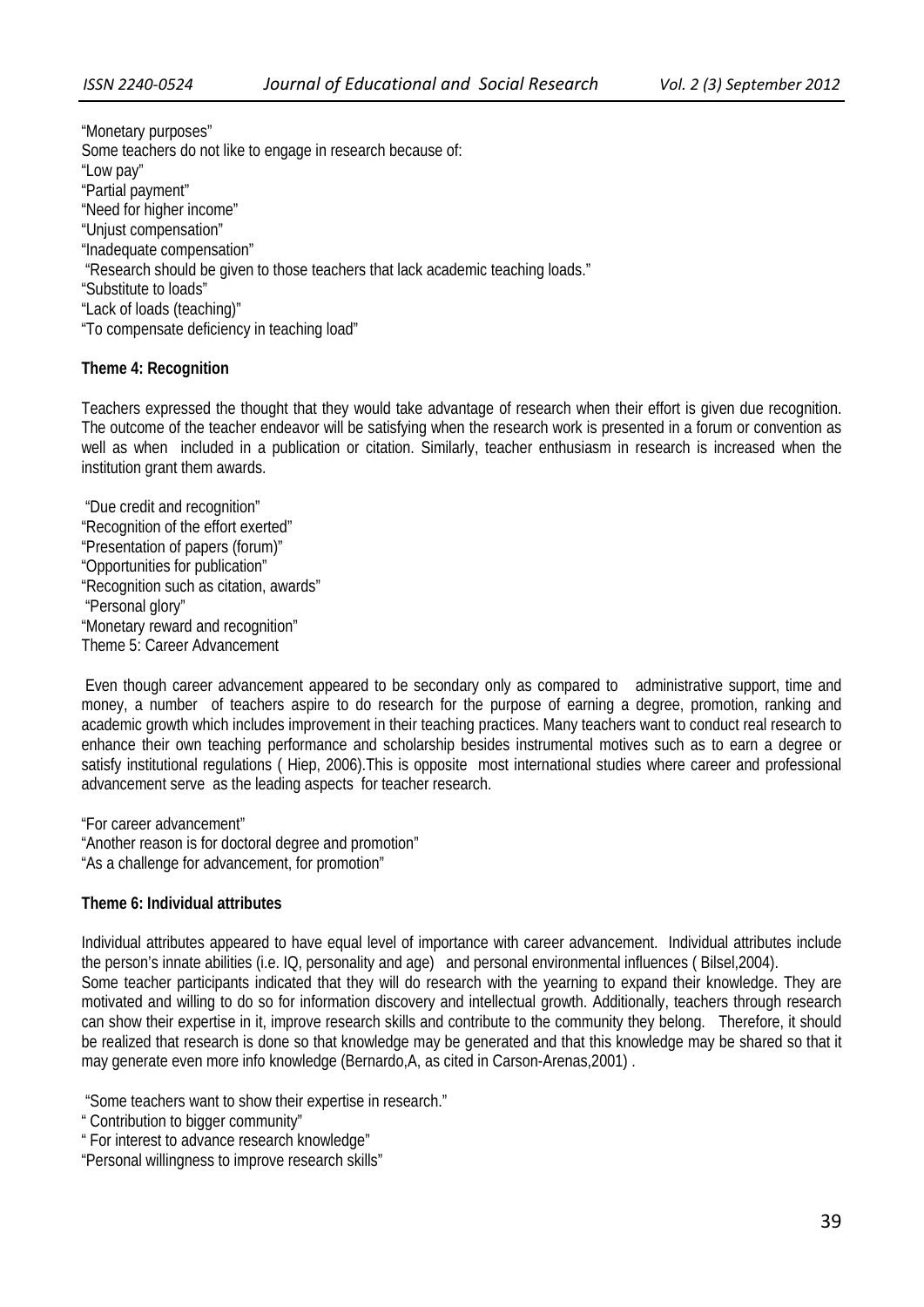"Monetary purposes" Some teachers do not like to engage in research because of: "Low pay" "Partial payment" "Need for higher income" "Unjust compensation" "Inadequate compensation" "Research should be given to those teachers that lack academic teaching loads." "Substitute to loads" "Lack of loads (teaching)" "To compensate deficiency in teaching load"

### **Theme 4: Recognition**

Teachers expressed the thought that they would take advantage of research when their effort is given due recognition. The outcome of the teacher endeavor will be satisfying when the research work is presented in a forum or convention as well as when included in a publication or citation. Similarly, teacher enthusiasm in research is increased when the institution grant them awards.

 "Due credit and recognition" "Recognition of the effort exerted" "Presentation of papers (forum)" "Opportunities for publication" "Recognition such as citation, awards" "Personal glory" "Monetary reward and recognition" Theme 5: Career Advancement

 Even though career advancement appeared to be secondary only as compared to administrative support, time and money, a number of teachers aspire to do research for the purpose of earning a degree, promotion, ranking and academic growth which includes improvement in their teaching practices. Many teachers want to conduct real research to enhance their own teaching performance and scholarship besides instrumental motives such as to earn a degree or satisfy institutional regulations ( Hiep, 2006).This is opposite most international studies where career and professional advancement serve as the leading aspects for teacher research.

"For career advancement" "Another reason is for doctoral degree and promotion" "As a challenge for advancement, for promotion"

### **Theme 6: Individual attributes**

Individual attributes appeared to have equal level of importance with career advancement. Individual attributes include the person's innate abilities (i.e. IQ, personality and age) and personal environmental influences ( Bilsel,2004). Some teacher participants indicated that they will do research with the yearning to expand their knowledge. They are motivated and willing to do so for information discovery and intellectual growth. Additionally, teachers through research can show their expertise in it, improve research skills and contribute to the community they belong. Therefore, it should be realized that research is done so that knowledge may be generated and that this knowledge may be shared so that it may generate even more info knowledge (Bernardo,A, as cited in Carson-Arenas,2001) .

"Some teachers want to show their expertise in research."

- " Contribution to bigger community"
- " For interest to advance research knowledge"
- "Personal willingness to improve research skills"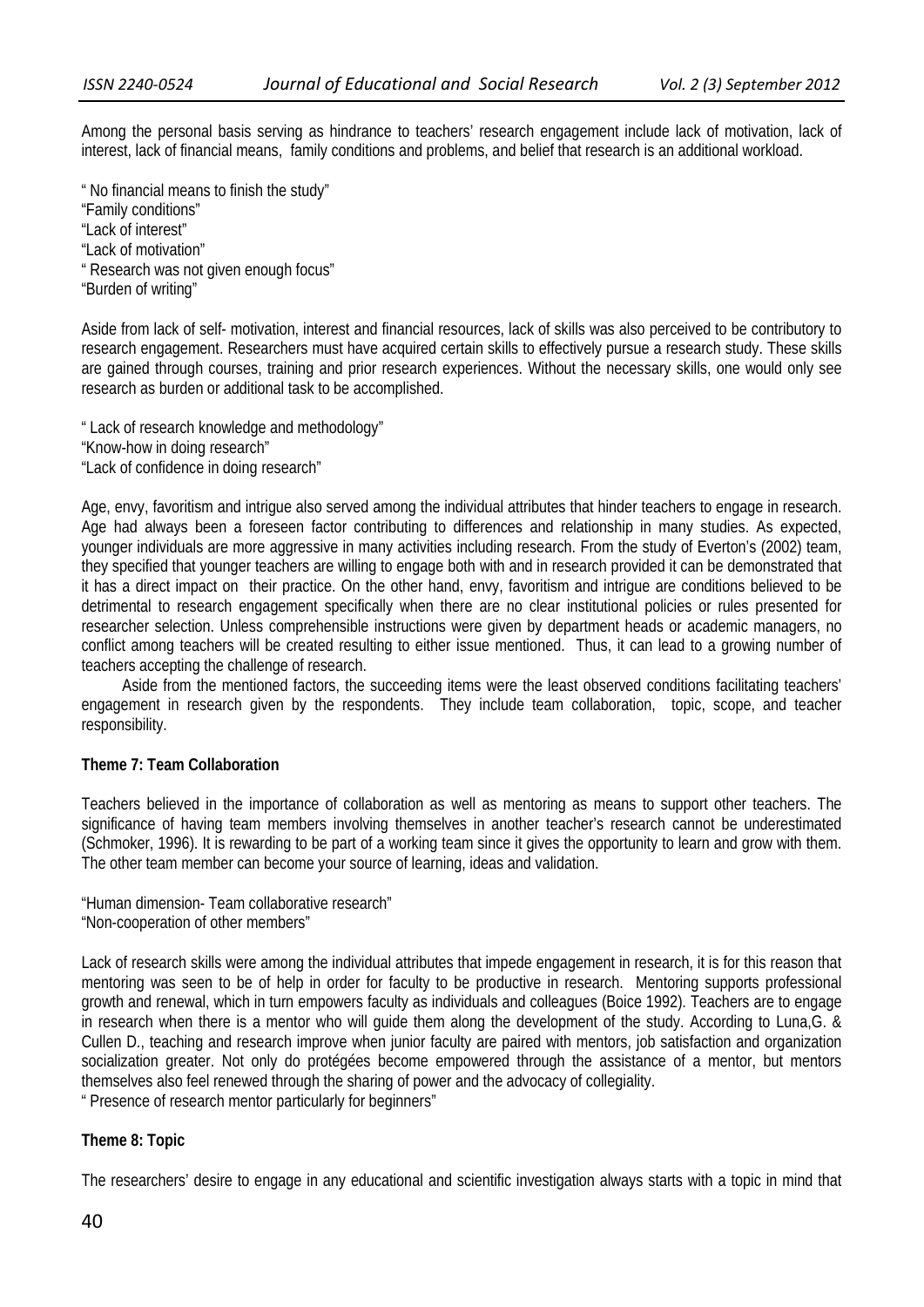Among the personal basis serving as hindrance to teachers' research engagement include lack of motivation, lack of interest, lack of financial means, family conditions and problems, and belief that research is an additional workload.

" No financial means to finish the study" "Family conditions" "Lack of interest" "Lack of motivation" " Research was not given enough focus" "Burden of writing"

Aside from lack of self- motivation, interest and financial resources, lack of skills was also perceived to be contributory to research engagement. Researchers must have acquired certain skills to effectively pursue a research study. These skills are gained through courses, training and prior research experiences. Without the necessary skills, one would only see research as burden or additional task to be accomplished.

" Lack of research knowledge and methodology"

"Know-how in doing research"

"Lack of confidence in doing research"

Age, envy, favoritism and intrigue also served among the individual attributes that hinder teachers to engage in research. Age had always been a foreseen factor contributing to differences and relationship in many studies. As expected, younger individuals are more aggressive in many activities including research. From the study of Everton's (2002) team, they specified that younger teachers are willing to engage both with and in research provided it can be demonstrated that it has a direct impact on their practice. On the other hand, envy, favoritism and intrigue are conditions believed to be detrimental to research engagement specifically when there are no clear institutional policies or rules presented for researcher selection. Unless comprehensible instructions were given by department heads or academic managers, no conflict among teachers will be created resulting to either issue mentioned. Thus, it can lead to a growing number of teachers accepting the challenge of research.

Aside from the mentioned factors, the succeeding items were the least observed conditions facilitating teachers' engagement in research given by the respondents. They include team collaboration, topic, scope, and teacher responsibility.

### **Theme 7: Team Collaboration**

Teachers believed in the importance of collaboration as well as mentoring as means to support other teachers. The significance of having team members involving themselves in another teacher's research cannot be underestimated (Schmoker, 1996). It is rewarding to be part of a working team since it gives the opportunity to learn and grow with them. The other team member can become your source of learning, ideas and validation.

"Human dimension- Team collaborative research" "Non-cooperation of other members"

Lack of research skills were among the individual attributes that impede engagement in research, it is for this reason that mentoring was seen to be of help in order for faculty to be productive in research. Mentoring supports professional growth and renewal, which in turn empowers faculty as individuals and colleagues (Boice 1992). Teachers are to engage in research when there is a mentor who will guide them along the development of the study. According to Luna,G. & Cullen D., teaching and research improve when junior faculty are paired with mentors, job satisfaction and organization socialization greater. Not only do protégées become empowered through the assistance of a mentor, but mentors themselves also feel renewed through the sharing of power and the advocacy of collegiality.

" Presence of research mentor particularly for beginners"

### **Theme 8: Topic**

The researchers' desire to engage in any educational and scientific investigation always starts with a topic in mind that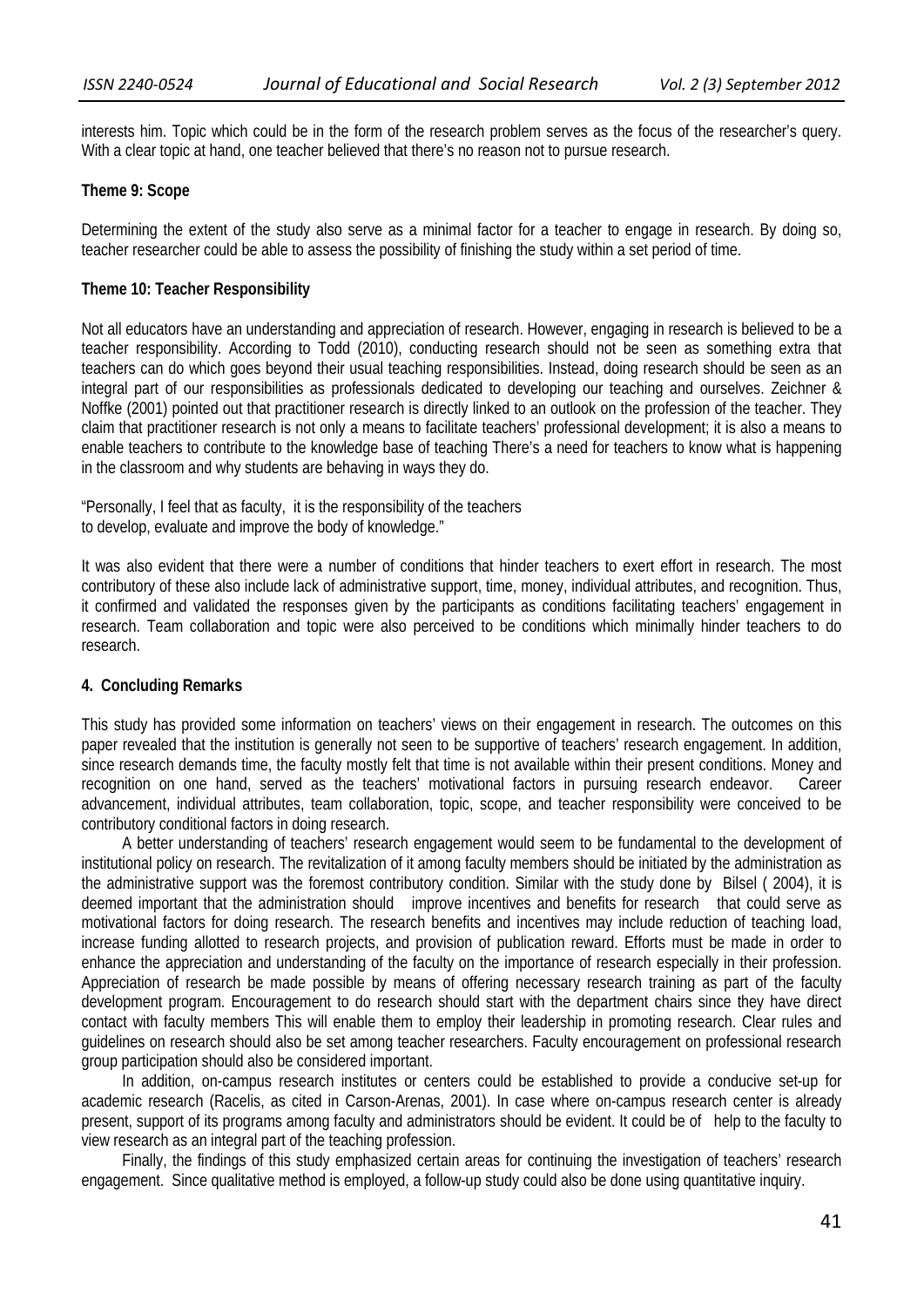interests him. Topic which could be in the form of the research problem serves as the focus of the researcher's query. With a clear topic at hand, one teacher believed that there's no reason not to pursue research.

### **Theme 9: Scope**

Determining the extent of the study also serve as a minimal factor for a teacher to engage in research. By doing so, teacher researcher could be able to assess the possibility of finishing the study within a set period of time.

### **Theme 10: Teacher Responsibility**

Not all educators have an understanding and appreciation of research. However, engaging in research is believed to be a teacher responsibility. According to Todd (2010), conducting research should not be seen as something extra that teachers can do which goes beyond their usual teaching responsibilities. Instead, doing research should be seen as an integral part of our responsibilities as professionals dedicated to developing our teaching and ourselves. Zeichner & Noffke (2001) pointed out that practitioner research is directly linked to an outlook on the profession of the teacher. They claim that practitioner research is not only a means to facilitate teachers' professional development; it is also a means to enable teachers to contribute to the knowledge base of teaching There's a need for teachers to know what is happening in the classroom and why students are behaving in ways they do.

"Personally, I feel that as faculty, it is the responsibility of the teachers to develop, evaluate and improve the body of knowledge."

It was also evident that there were a number of conditions that hinder teachers to exert effort in research. The most contributory of these also include lack of administrative support, time, money, individual attributes, and recognition. Thus, it confirmed and validated the responses given by the participants as conditions facilitating teachers' engagement in research. Team collaboration and topic were also perceived to be conditions which minimally hinder teachers to do research.

### **4. Concluding Remarks**

This study has provided some information on teachers' views on their engagement in research. The outcomes on this paper revealed that the institution is generally not seen to be supportive of teachers' research engagement. In addition, since research demands time, the faculty mostly felt that time is not available within their present conditions. Money and recognition on one hand, served as the teachers' motivational factors in pursuing research endeavor. Career advancement, individual attributes, team collaboration, topic, scope, and teacher responsibility were conceived to be contributory conditional factors in doing research.

A better understanding of teachers' research engagement would seem to be fundamental to the development of institutional policy on research. The revitalization of it among faculty members should be initiated by the administration as the administrative support was the foremost contributory condition. Similar with the study done by Bilsel ( 2004), it is deemed important that the administration should improve incentives and benefits for research that could serve as motivational factors for doing research. The research benefits and incentives may include reduction of teaching load, increase funding allotted to research projects, and provision of publication reward. Efforts must be made in order to enhance the appreciation and understanding of the faculty on the importance of research especially in their profession. Appreciation of research be made possible by means of offering necessary research training as part of the faculty development program. Encouragement to do research should start with the department chairs since they have direct contact with faculty members This will enable them to employ their leadership in promoting research. Clear rules and guidelines on research should also be set among teacher researchers. Faculty encouragement on professional research group participation should also be considered important.

In addition, on-campus research institutes or centers could be established to provide a conducive set-up for academic research (Racelis, as cited in Carson-Arenas, 2001). In case where on-campus research center is already present, support of its programs among faculty and administrators should be evident. It could be of help to the faculty to view research as an integral part of the teaching profession.

 Finally, the findings of this study emphasized certain areas for continuing the investigation of teachers' research engagement. Since qualitative method is employed, a follow-up study could also be done using quantitative inquiry.